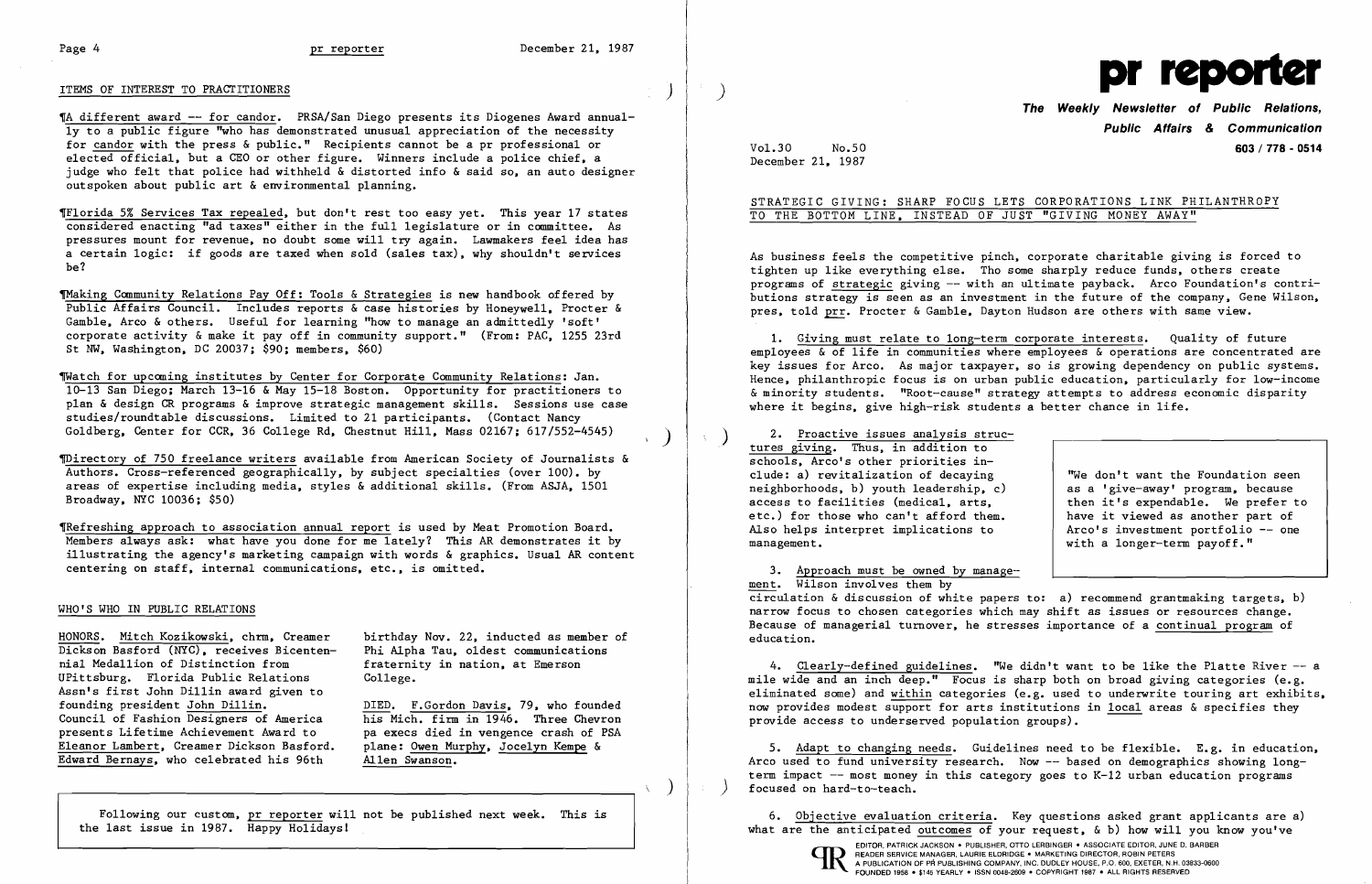'A different award -- for candor. PRSA/San Diego presents its Diogenes Award annually to a public figure "who has demonstrated unusual appreciation of the necessity for candor with the press & public." Recipients cannot be a pr professional or elected official, but a CEO or other figure. Winners include a police chief, a judge who felt that police had withheld & distorted info & said so, an auto designer outspoken about public art & environmental planning.

## ITEMS OF INTEREST TO PRACTITIONERS

'Florida 5% Services Tax repealed, but don't rest too easy yet. This year 17 states considered enacting "ad taxes" either in the full legislature or in committee. As pressures mount for revenue, no doubt some will try again. Lawmakers feel idea has a certain logic: if goods are taxed when sold (sales tax), why shouldn't services be?

~aking Community Relations Pay Off: Tools & Strategies is new handbook offered by Public Affairs Council. Includes reports & case histories by Honeywell. Procter & Gamble, Arco & others. Useful for learning "how to manage an admittedly 'soft' corporate activity  $\&$  make it pay off in community support." (From: PAC, 1255 23rd St NW, Washington, DC 20037; \$90; members, \$60)

TRefreshing approach to association annual report is used by Meat Promotion Board. Members always ask: what have you done for me lately? This AR demonstrates it by illustrating the agency's marketing campaign with words & graphics. Usual AR content centering on staff, internal communications, etc., is omitted.

~atch for upcoming institutes by Center for Corporate Community Relations: Jan. 10-13 San Diego; March 13-16 & May 15-18 Boston. Opportunity for practitioners to plan & design CR programs & improve strategic management skills. Sessions use case studies/roundtable discussions. Limited to 21 participants. (Contact Nancy Goldberg, Center for CCR, 36 College Rd, Chestnut Hill, Mass 02167; 617/552-4545)

As business feels the competitive pinch, corporate charitable giving is forced to tighten up like everything else. Tho Some sharply reduce funds, others create programs of strategic giving -- with an ultimate payback. Arco Foundation's contributions strategy is seen as an investment in the future of the company, Gene Wilson, pres, told prr. Procter & Gamble, Dayton Hudson are others with same view.

~irectory of 750 freelance writers available from American Society of Journalists & Authors. Cross-referenced geographically, by subject specialties (over 100). by areas of expertise including media, styles &additional skills. (From ASJA, 1501 Broadway, NYC 10036; \$50)

### WHO'S WHO IN PUBLIC RELATIONS

2. Proactive issues analysis struc-<br>tures giving. Thus, in addition to schools, Arco's other priorities include: a) revitalization of decaying neighborhoods, b) youth leadership, c) access to facilities (medical, arts, etc.) for those who can't afford them. Also helps interpret implications to management.

"We don't want the Foundation seen as a 'give-away' program, because then it's expendable. We prefer to have it viewed as another part of Arco's investment portfolio -- one with a longer-term payoff."

HONORS. Mitch Kozikowski, chrm, Creamer Dickson Basford (NYC), receives Bicentennial Medallion of Distinction from UPittsburg. Florida Public Relations Assn's first John Dillin award given to founding president John Dillin. Council of Fashion Designers of America presents Lifetime Achievement Award to Eleanor Lambert, Creamer Dickson Basford. Edward Bernays, who celebrated his 96th

birthday Nov. 22, inducted as member of Phi Alpha Tau, oldest communications fraternity in nation, at Emerson College.

4. Clearly-defined guidelines. "We didn't want to be like the Platte River -- a mile wide and an inch deep." Focus is sharp both on broad giving categories (e.g. eliminated some) and within categories (e.g. used to underwrite touring art exhibits, now provides modest support for arts institutions in local areas & specifies they provide access to underserved population groups).

6. Objective evaluation criteria. Key questions asked grant applicants are a) what are the anticipated outcomes of your request,  $\&$  b) how will you know you've EDITOR, PATRICK JACKSON. PUBLISHER, OTTO LERBINGER • ASSOCIATE EDITOR, JUNE D. BARBER **CD** READER SERVICE MANAGER, LAURIE ELDRIDGE . MARKETING DIRECTOR, ROBIN PETERS IN A PUBLICATION OF PR PUBLISHING COMPANY, INC. DUDLEY HOUSE, P.O. 600, EXETER, N.H. 03833-0600 FOUNDED 1958 · \$145 YEARLY · ISSN 0048-2609 · COPYRIGHT 1987 · ALL RIGHTS RESERVED



DIED. F.Gordon Davis, 79, who founded his Mich. firm in 1946. Three Chevron pa execs died in vengence crash of PSA plane: Owen Murphy, Jocelyn Kempe & Allen Swanson.

Following our custom, pr reporter will not be published next week. This is the last issue in 1987. Happy Holidays!

) I

 $\left( \begin{array}{c} \cdot \\ \cdot \end{array} \right)$ 

 $\left( \right)$ 

 $\pm 1$ 



# **The Weekly Newsletter of Public Relations, Public Affairs & Communication**  Vo1.30 No.50 **603 / 778 - 0514**

December 21, 1987

# STRATEGIC GIVING: SHARP FOCUS LETS CORPORATIONS LINK PHILANTHROPY TO THE BOTTOM LINE, INSTEAD OF JUST "GIVING MONEY AWAY"

1. Giving must relate to long-term corporate interests. Quality of future employees & of life in communities where employees & operations are concentrated are key issues for Arco. As major taxpayer, so is growing dependency on public systems. Hence, philanthropic focus is on urban public education, particularly for low-income & minority students. "Root-cause" strategy attempts to address economic disparity where it begins, give high-risk students a better chance in life.

)

3. Approach must be owned by management. Wilson involves them by circulation & discussion of white papers to: a) recommend grantmaking targets, b) narrow focus to chosen categories which may shift as issues or resources change. Because of managerial turnover, he stresses importance of a continual program of education.

5. Adapt to changing needs. Guidelines need to be flexible. E.g. in education, Arco used to fund university research. Now -- based on demographics showing longterm impact -- most money in this category goes to K-12 urban education programs ) focused on hard-to-teach.